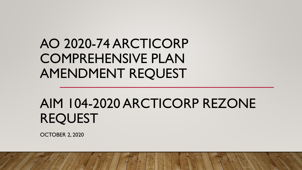# AO 2020-74 ARCTICORP COMPREHENSIVE PLAN AMENDMENT REQUEST

# AIM 104-2020 ARCTICORP REZONE REQUEST

OCTOBER 2, 2020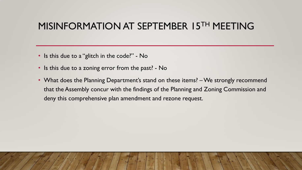### MISINFORMATION AT SEPTEMBER 15TH MEETING

- Is this due to a "glitch in the code?" No
- Is this due to a zoning error from the past? No
- What does the Planning Department's stand on these items? We strongly recommend that the Assembly concur with the findings of the Planning and Zoning Commission and deny this comprehensive plan amendment and rezone request.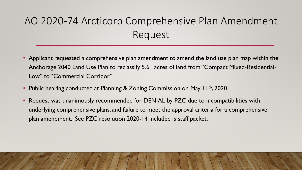- Applicant requested a comprehensive plan amendment to amend the land use plan map within the Anchorage 2040 Land Use Plan to reclassify 5.61 acres of land from "Compact Mixed-Residential-Low" to "Commercial Corridor"
- Public hearing conducted at Planning & Zoning Commission on May 11<sup>th</sup>, 2020.
- Request was unanimously recommended for DENIAL by PZC due to incompatibilities with underlying comprehensive plans, and failure to meet the approval criteria for a comprehensive plan amendment. See PZC resolution 2020-14 included is staff packet.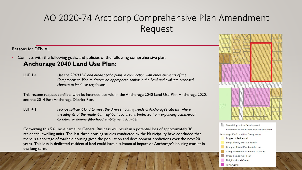#### Reasons for DENIAL

- Conflicts with the following goals, and policies of the following comprehensive plan: **Anchorage 2040 Land Use Plan:**
	- LUP 1.4 *Use the 2040 LUP and area-specific plans in conjunction with other elements of the Comprehensive Plan to determine appropriate zoning in the Bowl and evaluate proposed changes to land use regulations.*

This rezone request conflicts with its intended use within the Anchorage 2040 Land Use Plan, Anchorage 2020, and the 2014 East Anchorage District Plan.

LUP 4.1 *Provide sufficient land to meet the diverse housing needs of Anchorage's citizens, where the integrity of the residential neighborhood area is protected from expanding commercial corridors or non-neighborhood employment activities.* 

Converting this 5.61 acre parcel to General Business will result in a potential loss of approximately 38 residential dwelling units. The last three housing studies conducted by the Municipality have concluded that there is a shortage of available housing given the population and development predictions over the next 20 years. This loss in dedicated residential land could have a substantial impact on Anchorage's housing market in the long-term.



**Town Center**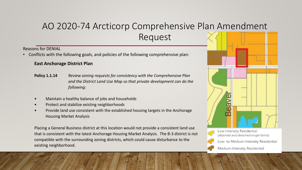Reasons for DENIAL

• Conflicts with the following goals, and policies of the following comprehensive plan:

#### **East Anchorage District Plan**

- **Policy 1.1.14** *Review zoning requests for consistency with the Comprehensive Plan and the District Land Use Map so that private development can do the following:*
- Maintain a healthy balance of jobs and households
- Protect and stabilize existing neighborhoods
- Provide land use consistent with the established housing targets in the Anchorage Housing Market Analysis

Placing a General Business district at this location would not provide a consistent land use that is consistent with the latest Anchorage Housing Market Analysis. The B-3 district is not compatible with the surrounding zoning districts, which could cause disturbance to the existing neighborhood.





Low-Intensity Residential (attached and detached single family)

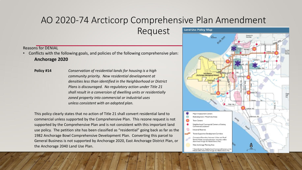Request

#### Reasons for DENIAL

• Conflicts with the following goals, and policies of the following comprehensive plan: **Anchorage 2020**

**Policy #14** *Conservation of residential lands for housing is a high community priority. New residential development at densities less than identified in the Neighborhood or District Plans is discouraged. No regulatory action under Title 21 shall result in a conversion of dwelling units or residentially zoned property into commercial or industrial uses unless consistent with an adopted plan.*

This policy clearly states that no action of Title 21 shall convert residential land to commercial unless supported by the Comprehensive Plan. This rezone request is not supported by the Comprehensive Plan and is not consistent with this important land use policy. The petition site has been classified as "residential" going back as far as the 1982 Anchorage Bowl Comprehensive Development Plan. Converting this parcel to General Business is not supported by Anchorage 2020, East Anchorage District Plan, or the Anchorage 2040 Land Use Plan.

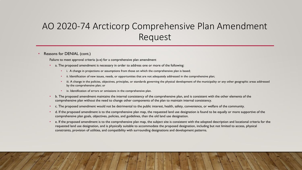#### • Reasons for DENIAL (cont.)

Failure to meet approval criteria (a-e) for a comprehensive plan amendment

- a. The proposed amendment is necessary in order to address one or more of the following:
	- i. A change in projections or assumptions from those on which the comprehensive plan is based;
	- ii. Identification of new issues, needs, or opportunities that are not adequately addressed in the comprehensive plan;
	- iii. A change in the policies, objectives, principles, or standards governing the physical development of the municipality or any other geographic areas addressed by the comprehensive plan; or
	- iv. Identification of errors or omissions in the comprehensive plan.
- b. The proposed amendment maintains the internal consistency of the comprehensive plan, and is consistent with the other elements of the comprehensive plan without the need to change other components of the plan to maintain internal consistency.
- c. The proposed amendment would not be detrimental to the public interest, health, safety, convenience, or welfare of the community.
- d. If the proposed amendment is to the comprehensive plan map, the requested land use designation is found to be equally or more supportive of the comprehensive plan goals, objectives, policies, and guidelines, than the old land use designation.
- e. If the proposed amendment is to the comprehensive plan map, the subject site is consistent with the adopted description and locational criteria for the requested land use designation, and is physically suitable to accommodate the proposed designation, including but not limited to access, physical constraints, provision of utilities, and compatibility with surrounding designations and development patterns.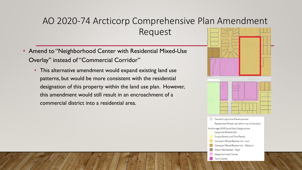- Amend to "Neighborhood Center with Residential Mixed-Use Overlay" instead of "Commercial Corridor"
	- This alternative amendment would expand existing land use patterns, but would be more consistent with the residential designation of this property within the land use plan. However, this amendment would still result in an encroachment of a commercial district into a residential area.



- Large-Lot Residential
- Single-Family and Two-Family
- Compact Mixed Residential Low
- Compact Mixed Residential Medium
- Urban Residential High
- Neighborhood Center
- Town Center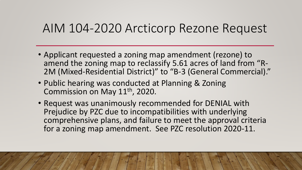## AIM 104-2020 Arcticorp Rezone Request

- Applicant requested a zoning map amendment (rezone) to<br>amend the zoning map to reclassify 5.61 acres of land from "R-2M (Mixed-Residential District)" to "B-3 (General Commercial)."
- Public hearing was conducted at Planning & Zoning Commission on May 11th, 2020.
- Request was unanimously recommended for DENIAL with Prejudice by PZC due to incompatibilities with underlying comprehensive plans, and failure to meet the approval criteria for a zoning map amendment. See PZC resolution 2020-11.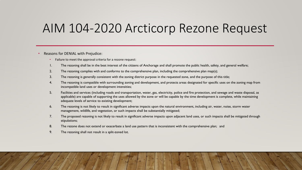## AIM 104-2020 Arcticorp Rezone Request

#### • Reasons for DENIAL with Prejudice:

- Failure to meet the approval criteria for a rezone request:
- 1. The rezoning shall be in the best interest of the citizens of Anchorage and shall promote the public health, safety, and general welfare;
- 2. The rezoning complies with and conforms to the comprehensive plan, including the comprehensive plan map(s);
- 3. The rezoning is generally consistent with the zoning district purpose in the requested zone, and the purpose of this title;
- 4. The rezoning is compatible with surrounding zoning and development, and protects areas designated for specific uses on the zoning map from incompatible land uses or development intensities;
- 5. Facilities and services (including roads and transportation, water, gas, electricity, police and fire protection, and sewage and waste disposal, as applicable) are capable of supporting the uses allowed by the zone or will be capable by the time development is complete, while maintaining adequate levels of service to existing development;
- 6. The rezoning is not likely to result in significant adverse impacts upon the natural environment, including air, water, noise, storm water management, wildlife, and vegetation, or such impacts shall be substantially mitigated;
- 7. The proposed rezoning is not likely to result in significant adverse impacts upon adjacent land uses, or such impacts shall be mitigated through stipulations;
- 8. The rezone does not extend or exacerbate a land use pattern that is inconsistent with the comprehensive plan; and
- 9. The rezoning shall not result in a split-zoned lot.